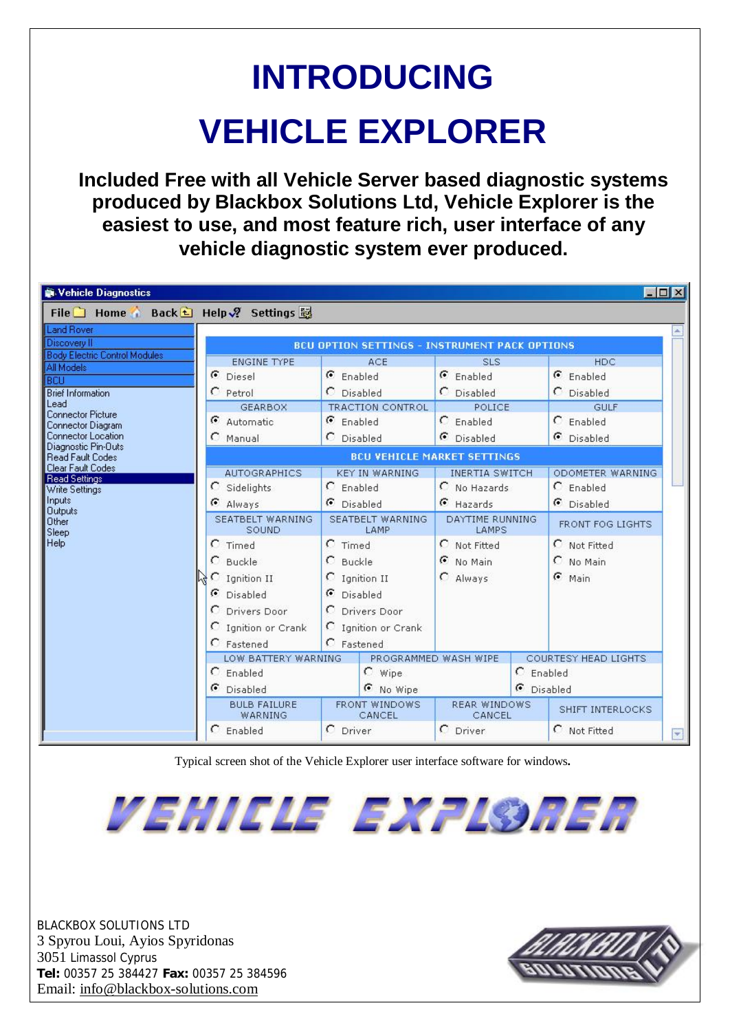# **INTRODUCING VEHICLE EXPLORER**

**Included Free with all Vehicle Server based diagnostic systems produced by Blackbox Solutions Ltd, Vehicle Explorer is the easiest to use, and most feature rich, user interface of any vehicle diagnostic system ever produced.** 

| Vehicle Diagnostics                                                                                                                                                                                                                                                                                                                                               |                                                                                                                                                                                                                                                                                                                             |                                                                                                                                                                                                                                                                                                |                                                                                                                                                                                                                                                                                                   | $ \Box$ $\times$                                                                                                                                                                                                                      |
|-------------------------------------------------------------------------------------------------------------------------------------------------------------------------------------------------------------------------------------------------------------------------------------------------------------------------------------------------------------------|-----------------------------------------------------------------------------------------------------------------------------------------------------------------------------------------------------------------------------------------------------------------------------------------------------------------------------|------------------------------------------------------------------------------------------------------------------------------------------------------------------------------------------------------------------------------------------------------------------------------------------------|---------------------------------------------------------------------------------------------------------------------------------------------------------------------------------------------------------------------------------------------------------------------------------------------------|---------------------------------------------------------------------------------------------------------------------------------------------------------------------------------------------------------------------------------------|
| File Home Back 日 Help ? Settings 别                                                                                                                                                                                                                                                                                                                                |                                                                                                                                                                                                                                                                                                                             |                                                                                                                                                                                                                                                                                                |                                                                                                                                                                                                                                                                                                   |                                                                                                                                                                                                                                       |
| Land Rover<br>Discovery II                                                                                                                                                                                                                                                                                                                                        |                                                                                                                                                                                                                                                                                                                             | <b>BCU OPTION SETTINGS - INSTRUMENT PACK OPTIONS</b>                                                                                                                                                                                                                                           |                                                                                                                                                                                                                                                                                                   |                                                                                                                                                                                                                                       |
| <b>Body Electric Control Modules</b><br>All Models<br><b>BCLL</b><br><b>Brief Information</b><br>Lead<br><b>Connector Picture</b><br>Connector Diagram<br><b>Connector Location</b><br>Diagnostic Pin-Outs<br><b>Read Fault Codes</b><br>Clear Fault Codes<br><b>Read Settings</b><br>Write Settings<br>Inputs<br><b>Outputs</b><br><b>Other</b><br>Sleep<br>Help | <b>ENGINE TYPE</b><br><b>6</b> Diesel<br>C Petrol<br><b>GEARBOX</b><br>G Automatic<br>C Manual<br><b>AUTOGRAPHICS</b><br>C Sidelights<br>Always<br>SEATBELT WARNING<br><b>SOUND</b><br>C Timed<br>$C$ Buckle<br>C Ignition II<br>G Disabled<br>C Drivers Door<br>C Ignition or Crank<br>$C$ Fastened<br>LOW BATTERY WARNING | ACE<br><b>G</b> Enabled<br>C Disabled<br><b>TRACTION CONTROL</b><br>C Enabled<br>C Disabled<br><b>KEY IN WARNING</b><br>$C$ Enabled<br>C Disabled<br>SEATBELT WARNING<br>LAMP<br>$C$ Timed<br>$C$ Buckle<br>C Ignition II<br>C Disabled<br>C Drivers Door<br>C Ignition or Crank<br>C Fastened | <b>SLS</b><br><b>G</b> Enabled<br>C Disabled<br>POLICE<br>$C$ Enabled<br><b>C</b> Disabled<br><b>BCU VEHICLE MARKET SETTINGS</b><br><b>INERTIA SWITCH</b><br>C No Hazards<br>G Hazards<br><b>DAYTIME RUNNING</b><br>LAMPS<br>C Not Fitted<br><b>6</b> No Main<br>C Always<br>PROGRAMMED WASH WIPE | <b>HDC</b><br><b>G</b> Enabled<br>C Disabled<br><b>GULF</b><br>$C$ Enabled<br>C Disabled<br>ODOMETER WARNING<br>$C$ Enabled<br>C Disabled<br>FRONT FOG LIGHTS<br>C Not Fitted<br>C No Main<br>$G$ Main<br><b>COURTESY HEAD LIGHTS</b> |
|                                                                                                                                                                                                                                                                                                                                                                   | $C$ Enabled<br><b>C</b> Disabled                                                                                                                                                                                                                                                                                            | $C$ Wipe<br><b>6</b> No Wipe                                                                                                                                                                                                                                                                   | $C$ Enabled                                                                                                                                                                                                                                                                                       | C Disabled                                                                                                                                                                                                                            |
|                                                                                                                                                                                                                                                                                                                                                                   | <b>BULB FAILURE</b><br><b>WARNING</b>                                                                                                                                                                                                                                                                                       | FRONT WINDOWS<br>CANCEL                                                                                                                                                                                                                                                                        | <b>REAR WINDOWS</b><br>CANCEL                                                                                                                                                                                                                                                                     | <b>SHIFT INTERLOCKS</b>                                                                                                                                                                                                               |
|                                                                                                                                                                                                                                                                                                                                                                   | o<br>Enabled                                                                                                                                                                                                                                                                                                                | C Driver                                                                                                                                                                                                                                                                                       | C Driver                                                                                                                                                                                                                                                                                          | C Not Fitted                                                                                                                                                                                                                          |

Typical screen shot of the Vehicle Explorer user interface software for windows**.** 



BLACKBOX SOLUTIONS LTD 3 Spyrou Loui, Ayios Spyridonas 3051 Limassol Cyprus **Tel:** 00357 25 384427 **Fax:** 00357 25 384596 Email: [info@blackbox-solutions.com](mailto:info@blackbox-solutions.com)

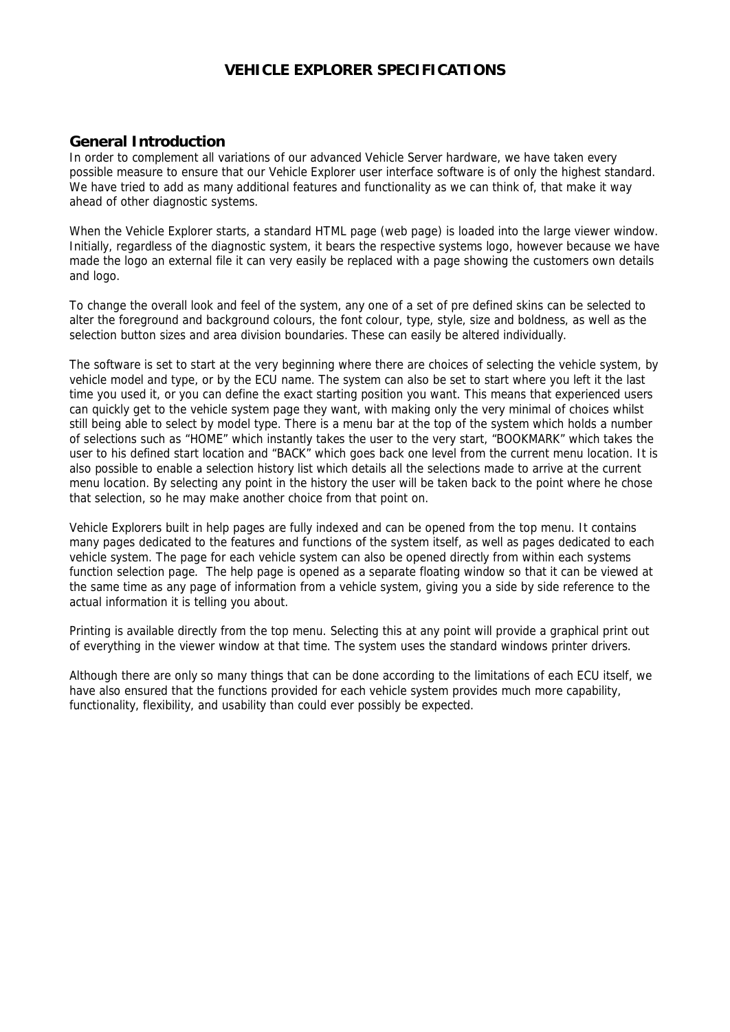# **VEHICLE EXPLORER SPECIFICATIONS**

#### **General Introduction**

In order to complement all variations of our advanced Vehicle Server hardware, we have taken every possible measure to ensure that our Vehicle Explorer user interface software is of only the highest standard. We have tried to add as many additional features and functionality as we can think of, that make it way ahead of other diagnostic systems.

When the Vehicle Explorer starts, a standard HTML page (web page) is loaded into the large viewer window. Initially, regardless of the diagnostic system, it bears the respective systems logo, however because we have made the logo an external file it can very easily be replaced with a page showing the customers own details and logo.

To change the overall look and feel of the system, any one of a set of pre defined skins can be selected to alter the foreground and background colours, the font colour, type, style, size and boldness, as well as the selection button sizes and area division boundaries. These can easily be altered individually.

The software is set to start at the very beginning where there are choices of selecting the vehicle system, by vehicle model and type, or by the ECU name. The system can also be set to start where you left it the last time you used it, or you can define the exact starting position you want. This means that experienced users can quickly get to the vehicle system page they want, with making only the very minimal of choices whilst still being able to select by model type. There is a menu bar at the top of the system which holds a number of selections such as "HOME" which instantly takes the user to the very start, "BOOKMARK" which takes the user to his defined start location and "BACK" which goes back one level from the current menu location. It is also possible to enable a selection history list which details all the selections made to arrive at the current menu location. By selecting any point in the history the user will be taken back to the point where he chose that selection, so he may make another choice from that point on.

Vehicle Explorers built in help pages are fully indexed and can be opened from the top menu. It contains many pages dedicated to the features and functions of the system itself, as well as pages dedicated to each vehicle system. The page for each vehicle system can also be opened directly from within each systems function selection page. The help page is opened as a separate floating window so that it can be viewed at the same time as any page of information from a vehicle system, giving you a side by side reference to the actual information it is telling you about.

Printing is available directly from the top menu. Selecting this at any point will provide a graphical print out of everything in the viewer window at that time. The system uses the standard windows printer drivers.

Although there are only so many things that can be done according to the limitations of each ECU itself, we have also ensured that the functions provided for each vehicle system provides much more capability, functionality, flexibility, and usability than could ever possibly be expected.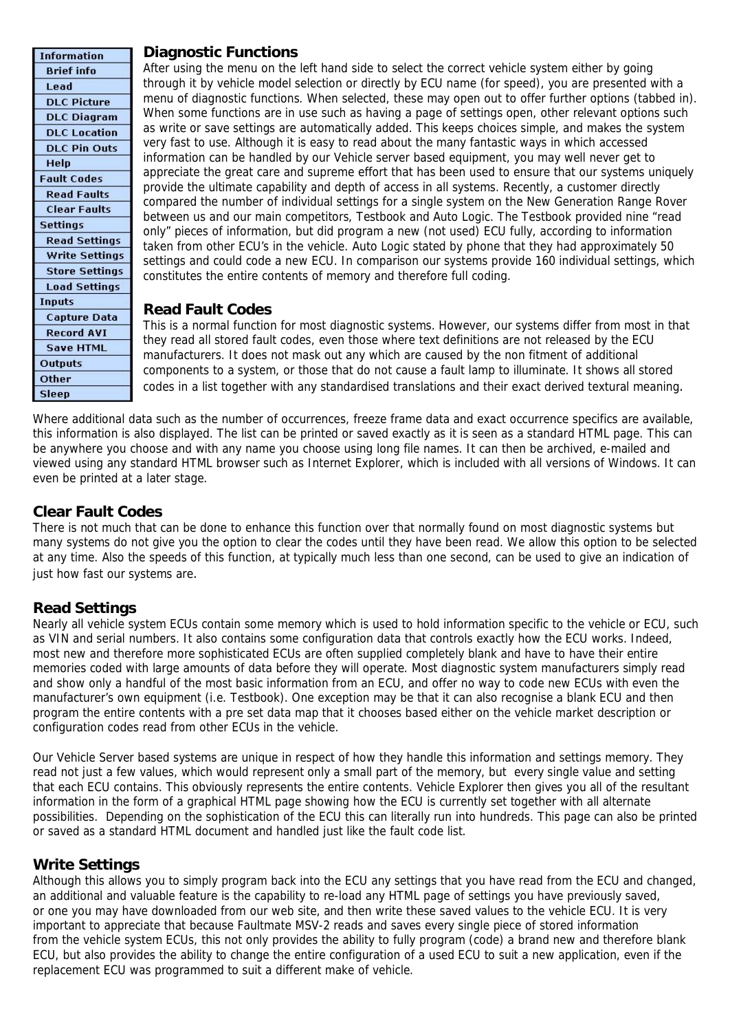#### **Diagnostic Functions**

| <b>Information</b>    |
|-----------------------|
| <b>Brief</b> info     |
| Lead                  |
| <b>DLC Picture</b>    |
| <b>DLC Diagram</b>    |
| <b>DLC</b> Location   |
| <b>DLC Pin Outs</b>   |
| Help                  |
| <b>Fault Codes</b>    |
| <b>Read Faults</b>    |
| <b>Clear Faults</b>   |
| <b>Settings</b>       |
| <b>Read Settings</b>  |
| <b>Write Settings</b> |
| <b>Store Settings</b> |
| <b>Load Settings</b>  |
| <b>Inputs</b>         |
| <b>Capture Data</b>   |
| <b>Record AVI</b>     |
| <b>Save HTML</b>      |
| <b>Outputs</b>        |
| Other                 |
| Sleep                 |

After using the menu on the left hand side to select the correct vehicle system either by going through it by vehicle model selection or directly by ECU name (for speed), you are presented with a menu of diagnostic functions. When selected, these may open out to offer further options (tabbed in). When some functions are in use such as having a page of settings open, other relevant options such as write or save settings are automatically added. This keeps choices simple, and makes the system very fast to use. Although it is easy to read about the many fantastic ways in which accessed information can be handled by our Vehicle server based equipment, you may well never get to appreciate the great care and supreme effort that has been used to ensure that our systems uniquely provide the ultimate capability and depth of access in all systems. Recently, a customer directly compared the number of individual settings for a single system on the New Generation Range Rover between us and our main competitors, Testbook and Auto Logic. The Testbook provided nine "read only" pieces of information, but did program a new (not used) ECU fully, according to information taken from other ECU's in the vehicle. Auto Logic stated by phone that they had approximately 50 settings and could code a new ECU. In comparison our systems provide 160 individual settings, which constitutes the entire contents of memory and therefore full coding.

# **Read Fault Codes**

This is a normal function for most diagnostic systems. However, our systems differ from most in that they read all stored fault codes, even those where text definitions are not released by the ECU manufacturers. It does not mask out any which are caused by the non fitment of additional components to a system, or those that do not cause a fault lamp to illuminate. It shows all stored codes in a list together with any standardised translations and their exact derived textural meaning.

Where additional data such as the number of occurrences, freeze frame data and exact occurrence specifics are available, this information is also displayed. The list can be printed or saved exactly as it is seen as a standard HTML page. This can be anywhere you choose and with any name you choose using long file names. It can then be archived, e-mailed and viewed using any standard HTML browser such as Internet Explorer, which is included with all versions of Windows. It can even be printed at a later stage.

# **Clear Fault Codes**

There is not much that can be done to enhance this function over that normally found on most diagnostic systems but many systems do not give you the option to clear the codes until they have been read. We allow this option to be selected at any time. Also the speeds of this function, at typically much less than one second, can be used to give an indication of just how fast our systems are.

## **Read Settings**

Nearly all vehicle system ECUs contain some memory which is used to hold information specific to the vehicle or ECU, such as VIN and serial numbers. It also contains some configuration data that controls exactly how the ECU works. Indeed, most new and therefore more sophisticated ECUs are often supplied completely blank and have to have their entire memories coded with large amounts of data before they will operate. Most diagnostic system manufacturers simply read and show only a handful of the most basic information from an ECU, and offer no way to code new ECUs with even the manufacturer's own equipment (i.e. Testbook). One exception may be that it can also recognise a blank ECU and then program the entire contents with a pre set data map that it chooses based either on the vehicle market description or configuration codes read from other ECUs in the vehicle.

Our Vehicle Server based systems are unique in respect of how they handle this information and settings memory. They read not just a few values, which would represent only a small part of the memory, but every single value and setting that each ECU contains. This obviously represents the entire contents. Vehicle Explorer then gives you all of the resultant information in the form of a graphical HTML page showing how the ECU is currently set together with all alternate possibilities. Depending on the sophistication of the ECU this can literally run into hundreds. This page can also be printed or saved as a standard HTML document and handled just like the fault code list.

## **Write Settings**

Although this allows you to simply program back into the ECU any settings that you have read from the ECU and changed, an additional and valuable feature is the capability to re-load any HTML page of settings you have previously saved, or one you may have downloaded from our web site, and then write these saved values to the vehicle ECU. It is very important to appreciate that because Faultmate MSV-2 reads and saves every single piece of stored information from the vehicle system ECUs, this not only provides the ability to fully program (code) a brand new and therefore blank ECU, but also provides the ability to change the entire configuration of a used ECU to suit a new application, even if the replacement ECU was programmed to suit a different make of vehicle.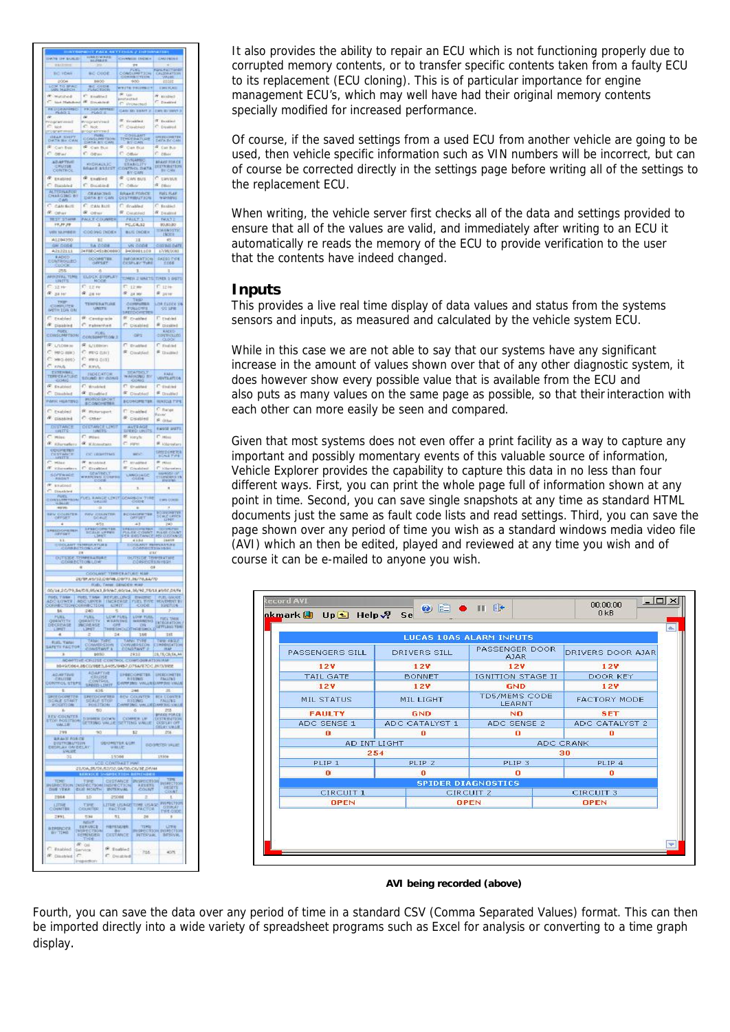| <b>OF BUILT</b>                                 |                                                  | <b>HARDWARE</b>                            |                               |                           |                                                     |                          |                                                                                                                                                                                                                                                                                         |
|-------------------------------------------------|--------------------------------------------------|--------------------------------------------|-------------------------------|---------------------------|-----------------------------------------------------|--------------------------|-----------------------------------------------------------------------------------------------------------------------------------------------------------------------------------------------------------------------------------------------------------------------------------------|
|                                                 |                                                  |                                            |                               |                           |                                                     |                          |                                                                                                                                                                                                                                                                                         |
| <b>BO YORA</b>                                  |                                                  | <b>BC-OVDE</b><br>600                      |                               | 008                       |                                                     |                          | GALERIATION<br>CALENDATION                                                                                                                                                                                                                                                              |
| <b>POOR</b><br>LCM TO BRACK                     |                                                  | <b>BC OTOR</b><br>NACIDO                   |                               |                           | <b>AVECTED</b>                                      |                          | <b>DRIVA</b>                                                                                                                                                                                                                                                                            |
| P. Matched<br>$\sim$ Sect. 2640                 | Y.<br><b>IF</b> Disabled                         | <b>Enabled</b>                             |                               | ×<br>ú<br>ë               | 0.038                                               |                          | ×<br>é                                                                                                                                                                                                                                                                                  |
| PRINCEANING                                     | PROGRAMMED                                       |                                            |                               |                           | pro<br>CAN ID SENT                                  |                          | <b>DRIVE OF THEST</b>                                                                                                                                                                                                                                                                   |
|                                                 | ä                                                |                                            |                               | ÷                         |                                                     |                          | T Inside                                                                                                                                                                                                                                                                                |
| fact:<br>rogramma                               | ë<br>Not                                         |                                            |                               |                           | <sup>P</sup> Cleaned                                |                          | C. Downed                                                                                                                                                                                                                                                                               |
| HAR THIT<br>ö                                   | POD MYTHS<br>CONSUMITION<br>CATA RY CAR          |                                            |                               | ä                         | CONTACT<br>TENDERATION                              |                          | DATA BY CAN                                                                                                                                                                                                                                                                             |
| a<br>Car Bas<br>o<br>cer.                       | ó.<br>C ones                                     | Can Bus                                    |                               | n                         | Can Box<br>Other                                    |                          | ś<br>Call But<br>è<br><b>DB4</b>                                                                                                                                                                                                                                                        |
| <b>ADAPTINE</b>                                 | <b>RIDRAILLE</b>                                 |                                            |                               |                           | <b>D'ALAMA</b><br><b>STABILITY</b>                  |                          | <b>MARE YOR CE</b>                                                                                                                                                                                                                                                                      |
| CRUTHS                                          |                                                  |                                            |                               |                           | <b>BY GAN</b>                                       |                          | <b>DESTRUCTION</b><br>ē                                                                                                                                                                                                                                                                 |
| <b>EXAMINE</b><br>Distribled                    | @ tratled<br>C. Disabled                         |                                            |                               | n                         | CAN BUS<br><b>COLL</b>                              |                          | tantus<br>$k$ pay                                                                                                                                                                                                                                                                       |
| <b>ALTERNATIVE</b><br><b>LARGING</b><br>$\circ$ | Of Machel<br>DATA BY GAN<br>ïн                   |                                            |                               |                           | <b>BRAKE FISHER</b><br><b>CESTRIBUT301</b>          |                          | FUEL PLAY                                                                                                                                                                                                                                                                               |
| CANSOT                                          | C cas lus                                        |                                            |                               | ö                         | ficabled.                                           |                          | ø<br>Testied                                                                                                                                                                                                                                                                            |
| <b>P.</b> other<br><b>REST STAR</b>             | <b>R</b> other<br>MAJE COUNTS                    |                                            |                               | $\Rightarrow$             | Disabled<br>FRIET 3                                 |                          | R Dealth<br>F#.5.7 Z                                                                                                                                                                                                                                                                    |
| 17,11,19                                        |                                                  | $\overline{1}$                             |                               |                           | PC_C4.12                                            |                          | SOURCING<br><b>HMANSYN</b>                                                                                                                                                                                                                                                              |
| VIII M.PIBER<br>AL204350                        | COD39G (MOE)                                     | 11                                         |                               |                           | <b>BUS DOES</b>                                     |                          | <b>Licitis</b>                                                                                                                                                                                                                                                                          |
| <b>GM CODE</b>                                  |                                                  | <b>IA CODE</b>                             |                               |                           | 11<br>Vs cone                                       |                          | contain part                                                                                                                                                                                                                                                                            |
| A2122111<br>EADID                               | 34 FBEC-R3 80 0000                               | OCORETER                                   |                               | 3409981103<br>INFORMATION |                                                     | 17/98/2002<br>RAZSO (164 |                                                                                                                                                                                                                                                                                         |
|                                                 |                                                  |                                            |                               |                           | 3                                                   |                          |                                                                                                                                                                                                                                                                                         |
| APINTERAL TEMPE                                 |                                                  |                                            | ELDEK ETOPLEY                 |                           |                                                     |                          | 3<br>TOMER JI MAKTS (TERES. 3 DIRTS                                                                                                                                                                                                                                                     |
| $-32.76$                                        | <b>C.12 m</b>                                    |                                            |                               | e<br>12.99                |                                                     | $F$ 12H                  |                                                                                                                                                                                                                                                                                         |
| æ.<br>24.14                                     | $a_{20}$                                         |                                            |                               | ×                         | at my<br>Comment                                    |                          | <b>R</b> 2416                                                                                                                                                                                                                                                                           |
| THE<br>CUBILITY                                 |                                                  | TEMPERATURE<br><b>UNITS</b>                |                               |                           | <b>FULLORS</b>                                      |                          | int rince is<br><b>99126</b>                                                                                                                                                                                                                                                            |
| e<br>Existed                                    | <b><i>IR Centgrade</i></b>                       |                                            |                               |                           | <b>IF</b> Crushed                                   |                          | <b>C</b> checket                                                                                                                                                                                                                                                                        |
| æ<br>Disabing                                   | é                                                | ratesyven                                  |                               | é                         | <b>Cisabled</b>                                     |                          | <b>R</b> Disabled                                                                                                                                                                                                                                                                       |
| CONSUMPTION                                     |                                                  |                                            | CONSIDERTION 3                | $-1005$                   |                                                     | <b>EACED</b><br>ó        |                                                                                                                                                                                                                                                                                         |
| ELADINH<br>$C$ , (495-888)                      | R L/Ltition<br>C #PG 0.91)                       |                                            |                               |                           | C. Instited<br># Cisabled                           |                          | C makes<br>$\#$ Dasted                                                                                                                                                                                                                                                                  |
| C: 100 (65)                                     | C. mrg (13)                                      |                                            |                               |                           |                                                     |                          |                                                                                                                                                                                                                                                                                         |
| C KNA<br>EXTERNAL<br>TERRINAL                   | C km                                             |                                            |                               |                           |                                                     |                          |                                                                                                                                                                                                                                                                                         |
|                                                 | <b>HOLCATOR</b><br>SOUND BY (SOME)               |                                            |                               |                           | WARNING                                             | BY.                      | VENTRAPIOS                                                                                                                                                                                                                                                                              |
| ä<br>Enabled<br>o<br>Dinabled                   | C. instert<br>4 Direction                        |                                            |                               |                           | O<br>Striabled<br><b>#</b> Disabled                 |                          | <b>C</b> display<br># Drubled                                                                                                                                                                                                                                                           |
| PARISC HILATING                                 | <b>POSSESSE</b>                                  |                                            |                               |                           | <b>BCOMORETER</b>                                   |                          | <b><i>RINTOA TIPS</i></b>                                                                                                                                                                                                                                                               |
| ć<br>Existed                                    |                                                  | R. main                                    |                               | <b>C</b> brabled          |                                                     |                          | <b>Balge</b><br>ť<br>taver                                                                                                                                                                                                                                                              |
| <b>IF</b> pisabled                              |                                                  | C case                                     |                               |                           | & pisitive                                          |                          | R ask                                                                                                                                                                                                                                                                                   |
| DISTANCE<br>URITS                               | $\vec{r}$                                        | CISTARCE LIMIT                             |                               |                           | ANTENGE<br>SPEED UNIT                               |                          | <b>Licold Journal</b>                                                                                                                                                                                                                                                                   |
| é<br>Hire<br>æ.<br><b>Kilurnaties</b>           | Pliet.<br><b>C</b> Kinsulate                     |                                            |                               | ö                         | R joryh<br><b>Harvi</b>                             |                          | $\Gamma$ isto<br><b>P. Microtary</b>                                                                                                                                                                                                                                                    |
| <b>COUPER</b>                                   |                                                  | OC UNITING                                 |                               |                           | <b>MDC</b>                                          |                          | SHITCHERA                                                                                                                                                                                                                                                                               |
| $\frac{1}{\pi}$ Mike                            | <b>IF</b> Bristoled<br><sup>P</sup> Crimbles     |                                            |                               |                           | et avapua<br># el                                   |                          | <b>B</b> plat                                                                                                                                                                                                                                                                           |
|                                                 | SEATBELT                                         | Crisildad                                  |                               |                           |                                                     |                          | è<br><b>Cole</b><br><b>Lioneral Co</b>                                                                                                                                                                                                                                                  |
| SOFFWARE<br>œ.                                  |                                                  |                                            |                               |                           | LANGUAGE                                            |                          | 18<br><b>CITEROR</b>                                                                                                                                                                                                                                                                    |
|                                                 |                                                  |                                            |                               |                           |                                                     |                          |                                                                                                                                                                                                                                                                                         |
| CONTRACTOR FUEL BANCE CRITICOMORON THE          |                                                  |                                            |                               |                           |                                                     |                          | <b>DRIVES</b>                                                                                                                                                                                                                                                                           |
| <b>BEV DOLBITER</b>                             |                                                  | <b>NEV COUNTER</b>                         |                               |                           | BCOMORETER                                          |                          | upan<br>KC 18                                                                                                                                                                                                                                                                           |
|                                                 |                                                  |                                            |                               |                           |                                                     |                          |                                                                                                                                                                                                                                                                                         |
| <b>SPEED CONT</b>                               |                                                  | CHRISTIAN<br>LAND FORM                     |                               |                           |                                                     |                          |                                                                                                                                                                                                                                                                                         |
|                                                 | n je                                             |                                            |                               |                           |                                                     |                          |                                                                                                                                                                                                                                                                                         |
| OUTSIDE TOWERAND                                |                                                  | ERATOR                                     |                               |                           | <b>PULLER</b>                                       |                          |                                                                                                                                                                                                                                                                                         |
|                                                 |                                                  |                                            |                               |                           |                                                     |                          | TEMPLATING                                                                                                                                                                                                                                                                              |
|                                                 | EUTRAS/SECRECIM/73.36/76.64/70                   | <b>COOLANT TER</b>                         |                               |                           | <b>CRATURO MI</b>                                   |                          |                                                                                                                                                                                                                                                                                         |
| (14.24/79.5                                     |                                                  |                                            |                               |                           |                                                     |                          |                                                                                                                                                                                                                                                                                         |
|                                                 |                                                  |                                            |                               |                           |                                                     |                          | DS.M.N.R.DVAO, 60/66, 34/92, 2014 83/02                                                                                                                                                                                                                                                 |
| <b>DO LOWER</b>                                 | in.                                              | ven<br>1104                                | TM                            | <b>CREASE</b>             | n <sub>2</sub>                                      |                          |                                                                                                                                                                                                                                                                                         |
|                                                 |                                                  |                                            |                               |                           |                                                     |                          |                                                                                                                                                                                                                                                                                         |
| b6                                              | 240<br>USI                                       |                                            |                               |                           |                                                     |                          |                                                                                                                                                                                                                                                                                         |
| <b>QUENTITY</b>                                 | QUANTITY<br>28407                                |                                            |                               | LOW FUEL                  |                                                     | LOW FUEL<br>昌            | FIEL THE                                                                                                                                                                                                                                                                                |
|                                                 | TANK                                             |                                            |                               |                           |                                                     | 156                      | 18<br>$45 -$                                                                                                                                                                                                                                                                            |
| 4                                               |                                                  | OMSTANT                                    |                               |                           | HIO                                                 |                          | <b>LEMMING</b>                                                                                                                                                                                                                                                                          |
| ×                                               |                                                  | <b>BOYED</b><br>UPSE-COP                   |                               |                           | 2952<br>CONTIGUEATIO                                |                          | 29, TR/CO/EN/AS<br>TON MAR                                                                                                                                                                                                                                                              |
|                                                 | 0049/0864.05CD/98E3.8405/9487.075A/970C.01/3/90E |                                            |                               |                           |                                                     |                          |                                                                                                                                                                                                                                                                                         |
| <b>ADAPTIVE</b><br>RUIN                         |                                                  |                                            |                               |                           |                                                     |                          |                                                                                                                                                                                                                                                                                         |
| <b>CONTROL STEPS</b>                            |                                                  | 635                                        |                               |                           | 246                                                 |                          | $\begin{tabular}{ c c c c } \hline $40.67176$ & $19.00001718$ & $19.00000178$ \\ \hline $0.001381$ & $19.00001718$ & $19.0000179$ \\ $0.001381$ & $19.000019$ & $19.0000019$ & $19.00000019$ \\ $19.0011$ & $19.0000019$ & $19.0000000019$ & $19.0000000001$ & $19.0000000000$ \\$<br>z |
|                                                 |                                                  |                                            |                               |                           |                                                     |                          |                                                                                                                                                                                                                                                                                         |
| SECROCARTES<br>DOALE START<br>DOGUTION<br>٠     |                                                  | PREDORETER<br>SCALE STOP<br>POSITION<br>50 |                               |                           | <b>FEV COUNTER</b><br>RISING<br>CHARTING VILLE<br>ö |                          | <b>EXECUTIVE COMPA</b><br>TANLING<br>253                                                                                                                                                                                                                                                |
|                                                 |                                                  |                                            |                               |                           |                                                     |                          | <b>BRAKE PO</b>                                                                                                                                                                                                                                                                         |
| FEV COUNTER                                     |                                                  |                                            |                               |                           | STRING WILLE SETTING WILLE<br>sz                    |                          | DESTRUSHERS<br>COSPEAN OFF<br>ORDER SYNCH<br><b>BATTO</b><br>256                                                                                                                                                                                                                        |
| <b>BRANT FORCE</b>                              |                                                  |                                            |                               |                           |                                                     |                          |                                                                                                                                                                                                                                                                                         |
| <b>DISTRIBUTION</b><br>TRANS ON DELAY           |                                                  |                                            | <b>GENERATEK EGRI</b>         |                           |                                                     |                          | <b>BD SHEDS WLIE</b>                                                                                                                                                                                                                                                                    |
| 31                                              |                                                  |                                            | 1558<br><b>CO.CONTRACTION</b> |                           |                                                     |                          | 1530e                                                                                                                                                                                                                                                                                   |
|                                                 | 21/04/25/28/52/02/94/20/06/36 DW44<br><b>COL</b> |                                            |                               |                           |                                                     |                          |                                                                                                                                                                                                                                                                                         |
| TIME                                            |                                                  | <b>TSOMETH</b>                             | DISTANCE                      |                           | <b>INSPECTION</b>                                   |                          |                                                                                                                                                                                                                                                                                         |
| NIRECTO                                         | <b>ECTION</b>                                    |                                            | <b>HEIRECTIO</b>              |                           | à,                                                  |                          | 0.81                                                                                                                                                                                                                                                                                    |
| 2964                                            | 10                                               |                                            | 2500                          |                           |                                                     |                          | ł<br>1215914                                                                                                                                                                                                                                                                            |
| <b>LITHE</b>                                    | <b>CONTRA</b><br>534                             |                                            | 81                            |                           | LITTE USAGETTIME USAGE                              | 26                       | $\blacksquare$                                                                                                                                                                                                                                                                          |
| 2991                                            | <b>ndoct</b>                                     |                                            | <b>HEISTADER</b>              |                           |                                                     |                          |                                                                                                                                                                                                                                                                                         |
| AMSNOCK                                         | SERVICE<br>IMBRECTION                            |                                            | <b>CESTANCE</b>               |                           |                                                     | TERE<br>INSPECTION       | <b>LITE</b><br>INTECTIO                                                                                                                                                                                                                                                                 |
| T. Baabled                                      | m<br><b>OH</b><br><b>Servick</b>                 |                                            | <b>Stabled</b>                |                           |                                                     | 216                      | 4075                                                                                                                                                                                                                                                                                    |

It also provides the ability to repair an ECU which is not functioning properly due to corrupted memory contents, or to transfer specific contents taken from a faulty ECU to its replacement (ECU cloning). This is of particular importance for engine management ECU's, which may well have had their original memory contents specially modified for increased performance.

Of course, if the saved settings from a used ECU from another vehicle are going to be used, then vehicle specific information such as VIN numbers will be incorrect, but can of course be corrected directly in the settings page before writing all of the settings to the replacement ECU.

When writing, the vehicle server first checks all of the data and settings provided to ensure that all of the values are valid, and immediately after writing to an ECU it automatically re reads the memory of the ECU to provide verification to the user that the contents have indeed changed.

#### **Inputs**

This provides a live real time display of data values and status from the systems sensors and inputs, as measured and calculated by the vehicle system ECU.

While in this case we are not able to say that our systems have any significant increase in the amount of values shown over that of any other diagnostic system, it does however show every possible value that is available from the ECU and also puts as many values on the same page as possible, so that theirinteraction with each other can more easily be seen and compared.

Given that most systems does not even offer a print facility as a way to capture any important and possibly momentary events of this valuable source of information, Vehicle Explorer provides the capability to capture this data in no less than four different ways. First, you can print the whole page full of information shown at any point in time. Second, you can save single snapshots at any time as standard HTML documents just the same as fault code lists and read settings. Third, you can save the page shown over any period of time you wish as a standard windows media video file (AVI) which an then be edited, played and reviewed at any time you wish and of course it can be e-mailed to anyone you wish.

|                  |                     | <b>LUCAS 10AS ALARM INPUTS</b>        |                     |  |  |
|------------------|---------------------|---------------------------------------|---------------------|--|--|
| PASSENGERS SILL  | <b>DRIVERS SILL</b> | PASSENGER DOOR<br>AJAR.               | DRIVERS DOOR AJAR   |  |  |
| 12V              | 12V                 | <b>12V</b>                            | 12V                 |  |  |
| <b>TAIL GATE</b> | <b>BONNET</b>       | IGNITION STAGE II                     | DOOR KEY            |  |  |
| 12V              | 12V                 | <b>GND</b>                            | <b>12V</b>          |  |  |
| MIL STATUS       | MIL LIGHT           | <b>TD5/MEMS CODE</b><br><b>LEARNT</b> | <b>FACTORY MODE</b> |  |  |
| <b>FAULTY</b>    | <b>GND</b>          | NO.                                   | <b>SET</b>          |  |  |
| ADC SENSE 1      | ADC CATALYST 1      | ADC SENSE 2                           | ADC CATALYST 2      |  |  |
| $\bf{0}$         | o                   | o                                     | n                   |  |  |
|                  | AD INT LIGHT        |                                       | ADC CRANK           |  |  |
| 254              |                     | 30                                    |                     |  |  |
| PLIP 1           | PLIP <sub>2</sub>   | PLIP <sub>3</sub>                     | PLIP <sub>4</sub>   |  |  |
| $\mathbf{a}$     | $\mathbf{a}$        | $\mathbf{a}$                          | $\mathbf{a}$        |  |  |
|                  |                     | <b>SPIDER DIAGNOSTICS</b>             |                     |  |  |
| CIRCUIT 1        |                     | CIRCUIT <sub>2</sub>                  | <b>CIRCUIT 3</b>    |  |  |
| <b>OPEN</b>      |                     | <b>OPEN</b>                           | <b>OPEN</b>         |  |  |

**AVI being recorded (above)**

Fourth, you can save the data over any period of time in a standard CSV (Comma Separated Values) format. This can then be imported directly into a wide variety of spreadsheet programs such as Excel for analysis or converting to a time graph display.